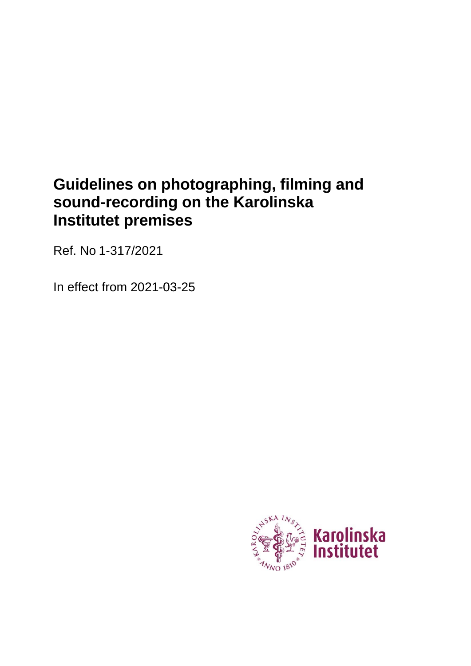# **Guidelines on photographing, filming and sound-recording on the Karolinska Institutet premises**

Ref. No 1-317/2021

In effect from 2021-03-25

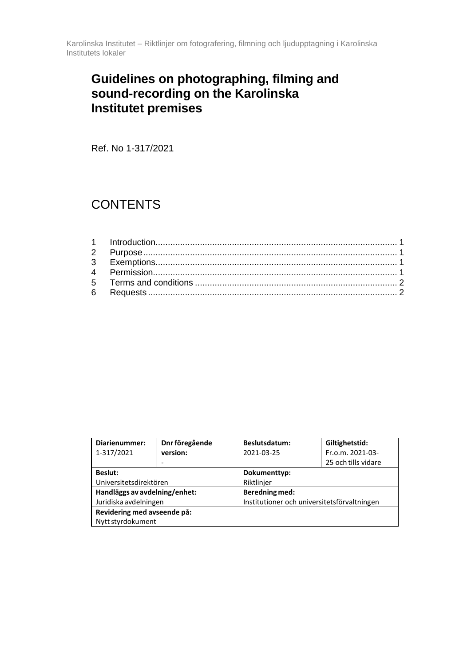# **Guidelines on photographing, filming and sound-recording on the Karolinska Institutet premises**

Ref. No 1-317/2021

# **CONTENTS**

| Diarienummer:                 | Dnr föregående | Beslutsdatum:                               | Giltighetstid:      |  |
|-------------------------------|----------------|---------------------------------------------|---------------------|--|
| 1-317/2021                    | version:       | 2021-03-25                                  | Fr.o.m. 2021-03-    |  |
|                               |                |                                             | 25 och tills vidare |  |
| <b>Beslut:</b>                |                | Dokumenttyp:                                |                     |  |
| Universitetsdirektören        |                | Riktlinjer                                  |                     |  |
| Handläggs av avdelning/enhet: |                | <b>Beredning med:</b>                       |                     |  |
| Juridiska avdelningen         |                | Institutioner och universitetsförvaltningen |                     |  |
| Revidering med avseende på:   |                |                                             |                     |  |
| Nytt styrdokument             |                |                                             |                     |  |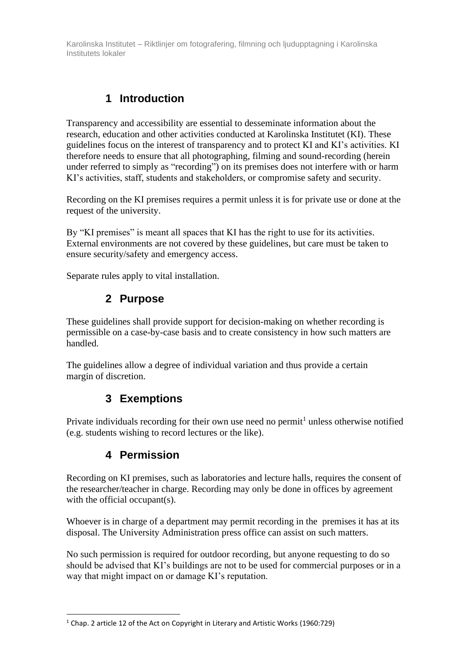Karolinska Institutet – Riktlinjer om fotografering, filmning och ljudupptagning i Karolinska Institutets lokaler

### **1 Introduction**

<span id="page-2-0"></span>Transparency and accessibility are essential to desseminate information about the research, education and other activities conducted at Karolinska Institutet (KI). These guidelines focus on the interest of transparency and to protect KI and KI's activities. KI therefore needs to ensure that all photographing, filming and sound-recording (herein under referred to simply as "recording") on its premises does not interfere with or harm KI's activities, staff, students and stakeholders, or compromise safety and security.

Recording on the KI premises requires a permit unless it is for private use or done at the request of the university.

By "KI premises" is meant all spaces that KI has the right to use for its activities. External environments are not covered by these guidelines, but care must be taken to ensure security/safety and emergency access.

<span id="page-2-1"></span>Separate rules apply to vital installation.

#### **2 Purpose**

These guidelines shall provide support for decision-making on whether recording is permissible on a case-by-case basis and to create consistency in how such matters are handled.

The guidelines allow a degree of individual variation and thus provide a certain margin of discretion.

#### **3 Exemptions**

<span id="page-2-2"></span>Private individuals recording for their own use need no permit<sup>1</sup> unless otherwise notified (e.g. students wishing to record lectures or the like).

#### **4 Permission**

<span id="page-2-3"></span>Recording on KI premises, such as laboratories and lecture halls, requires the consent of the researcher/teacher in charge. Recording may only be done in offices by agreement with the official occupant(s).

Whoever is in charge of a department may permit recording in the premises it has at its disposal. The University Administration press office can assist on such matters.

No such permission is required for outdoor recording, but anyone requesting to do so should be advised that KI's buildings are not to be used for commercial purposes or in a way that might impact on or damage KI's reputation.

<sup>&</sup>lt;sup>1</sup> Chap. 2 article 12 of the Act on Copyright in Literary and Artistic Works (1960:729)